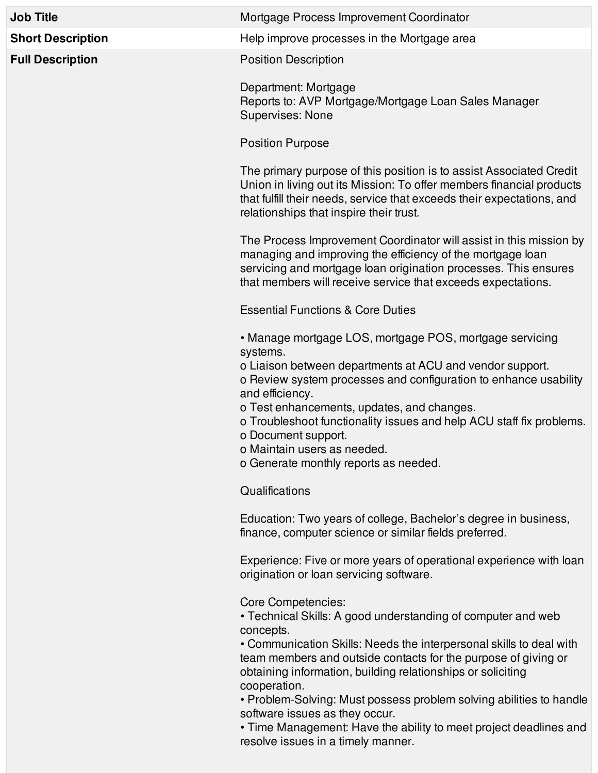|  | <b>Job Title</b>         | Mortgage Process Improvement Coordinator                                                                                                                                                                                                                            |
|--|--------------------------|---------------------------------------------------------------------------------------------------------------------------------------------------------------------------------------------------------------------------------------------------------------------|
|  | <b>Short Description</b> | Help improve processes in the Mortgage area                                                                                                                                                                                                                         |
|  | <b>Full Description</b>  | <b>Position Description</b>                                                                                                                                                                                                                                         |
|  |                          | Department: Mortgage<br>Reports to: AVP Mortgage/Mortgage Loan Sales Manager<br><b>Supervises: None</b>                                                                                                                                                             |
|  |                          | <b>Position Purpose</b>                                                                                                                                                                                                                                             |
|  |                          | The primary purpose of this position is to assist Associated Credit<br>Union in living out its Mission: To offer members financial products<br>that fulfill their needs, service that exceeds their expectations, and<br>relationships that inspire their trust.    |
|  |                          | The Process Improvement Coordinator will assist in this mission by<br>managing and improving the efficiency of the mortgage loan<br>servicing and mortgage loan origination processes. This ensures<br>that members will receive service that exceeds expectations. |
|  |                          | <b>Essential Functions &amp; Core Duties</b>                                                                                                                                                                                                                        |
|  |                          | • Manage mortgage LOS, mortgage POS, mortgage servicing<br>systems.                                                                                                                                                                                                 |
|  |                          | o Liaison between departments at ACU and vendor support.<br>o Review system processes and configuration to enhance usability<br>and efficiency.                                                                                                                     |
|  |                          | o Test enhancements, updates, and changes<br>o Troubleshoot functionality issues and help ACU staff fix problems.<br>o Document support.<br>o Maintain users as needed.                                                                                             |
|  |                          | o Generate monthly reports as needed.                                                                                                                                                                                                                               |
|  |                          | Qualifications                                                                                                                                                                                                                                                      |
|  |                          | Education: Two years of college, Bachelor's degree in business,<br>finance, computer science or similar fields preferred.                                                                                                                                           |
|  |                          | Experience: Five or more years of operational experience with loan                                                                                                                                                                                                  |

Experience: Five or more years of operational experience with loan origination or loan servicing software.

Core Competencies:

• Technical Skills: A good understanding of computer and web concepts.

• Communication Skills: Needs the interpersonal skills to deal with team members and outside contacts for the purpose of giving or obtaining information, building relationships or soliciting cooperation.

• Problem-Solving: Must possess problem solving abilities to handle software issues as they occur.

• Time Management: Have the ability to meet project deadlines and resolve issues in a timely manner.